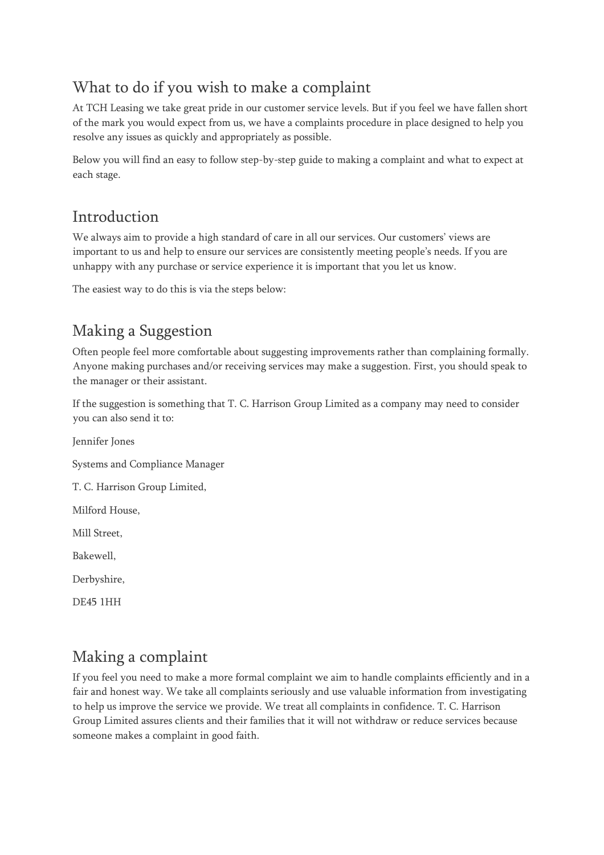## What to do if you wish to make a complaint

At TCH Leasing we take great pride in our customer service levels. But if you feel we have fallen short of the mark you would expect from us, we have a complaints procedure in place designed to help you resolve any issues as quickly and appropriately as possible.

Below you will find an easy to follow step-by-step guide to making a complaint and what to expect at each stage.

## Introduction

We always aim to provide a high standard of care in all our services. Our customers' views are important to us and help to ensure our services are consistently meeting people's needs. If you are unhappy with any purchase or service experience it is important that you let us know.

The easiest way to do this is via the steps below:

# Making a Suggestion

Often people feel more comfortable about suggesting improvements rather than complaining formally. Anyone making purchases and/or receiving services may make a suggestion. First, you should speak to the manager or their assistant.

If the suggestion is something that T. C. Harrison Group Limited as a company may need to consider you can also send it to:

Jennifer Jones

Systems and Compliance Manager

T. C. Harrison Group Limited,

Milford House,

Mill Street,

Bakewell,

Derbyshire,

DE45 1HH

#### Making a complaint

If you feel you need to make a more formal complaint we aim to handle complaints efficiently and in a fair and honest way. We take all complaints seriously and use valuable information from investigating to help us improve the service we provide. We treat all complaints in confidence. T. C. Harrison Group Limited assures clients and their families that it will not withdraw or reduce services because someone makes a complaint in good faith.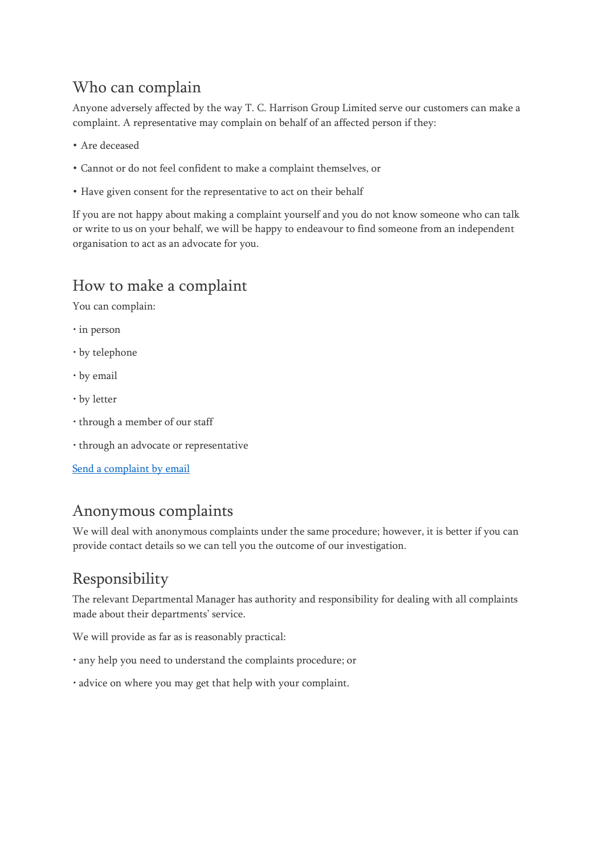## Who can complain

Anyone adversely affected by the way T. C. Harrison Group Limited serve our customers can make a complaint. A representative may complain on behalf of an affected person if they:

- Are deceased
- Cannot or do not feel confident to make a complaint themselves, or
- Have given consent for the representative to act on their behalf

If you are not happy about making a complaint yourself and you do not know someone who can talk or write to us on your behalf, we will be happy to endeavour to find someone from an independent organisation to act as an advocate for you.

## How to make a complaint

You can complain:

- in person
- by telephone
- by email
- by letter
- through a member of our staff
- through an advocate or representative

[Send a complaint by email](mailto:customersupport@tchleasing.co.uk?subject=Complaint)

## Anonymous complaints

We will deal with anonymous complaints under the same procedure; however, it is better if you can provide contact details so we can tell you the outcome of our investigation.

# Responsibility

The relevant Departmental Manager has authority and responsibility for dealing with all complaints made about their departments' service.

We will provide as far as is reasonably practical:

- any help you need to understand the complaints procedure; or
- advice on where you may get that help with your complaint.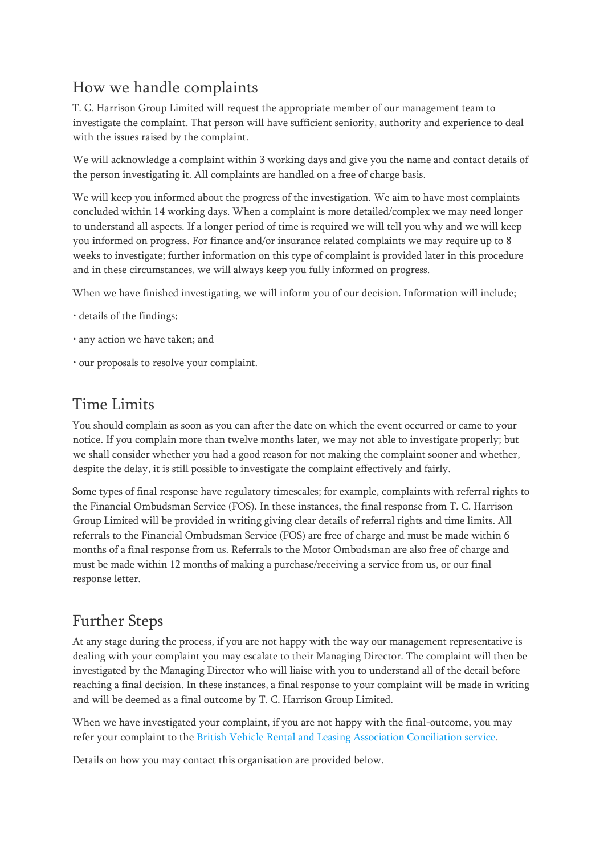## How we handle complaints

T. C. Harrison Group Limited will request the appropriate member of our management team to investigate the complaint. That person will have sufficient seniority, authority and experience to deal with the issues raised by the complaint.

We will acknowledge a complaint within 3 working days and give you the name and contact details of the person investigating it. All complaints are handled on a free of charge basis.

We will keep you informed about the progress of the investigation. We aim to have most complaints concluded within 14 working days. When a complaint is more detailed/complex we may need longer to understand all aspects. If a longer period of time is required we will tell you why and we will keep you informed on progress. For finance and/or insurance related complaints we may require up to 8 weeks to investigate; further information on this type of complaint is provided later in this procedure and in these circumstances, we will always keep you fully informed on progress.

When we have finished investigating, we will inform you of our decision. Information will include;

- details of the findings;
- any action we have taken; and
- our proposals to resolve your complaint.

#### Time Limits

You should complain as soon as you can after the date on which the event occurred or came to your notice. If you complain more than twelve months later, we may not able to investigate properly; but we shall consider whether you had a good reason for not making the complaint sooner and whether, despite the delay, it is still possible to investigate the complaint effectively and fairly.

Some types of final response have regulatory timescales; for example, complaints with referral rights to the Financial Ombudsman Service (FOS). In these instances, the final response from T. C. Harrison Group Limited will be provided in writing giving clear details of referral rights and time limits. All referrals to the Financial Ombudsman Service (FOS) are free of charge and must be made within 6 months of a final response from us. Referrals to the Motor Ombudsman are also free of charge and must be made within 12 months of making a purchase/receiving a service from us, or our final response letter.

#### Further Steps

At any stage during the process, if you are not happy with the way our management representative is dealing with your complaint you may escalate to their Managing Director. The complaint will then be investigated by the Managing Director who will liaise with you to understand all of the detail before reaching a final decision. In these instances, a final response to your complaint will be made in writing and will be deemed as a final outcome by T. C. Harrison Group Limited.

When we have investigated your complaint, if you are not happy with the final-outcome, you may refer your complaint to the [British Vehicle Rental and Leasing Association Conciliation service.](https://www.bvrla.co.uk/advice/guidance/using-bvrlas-conciliation-service)

Details on how you may contact this organisation are provided below.